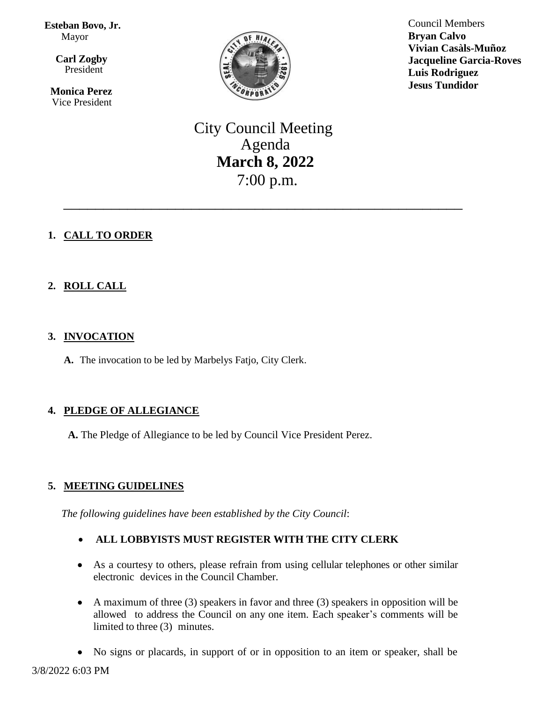**Esteban Bovo, Jr.**  Mayor

 $\overline{\mathbf{a}}$  **Carl Zogby** President

> **Monica Perez** Vice President



Council Members **Bryan Calvo Vivian Casàls-Muñoz Jacqueline Garcia-Roves Luis Rodriguez Jesus Tundidor**

City Council Meeting Agenda **March 8, 2022** 7:00 p.m.

\_\_\_\_\_\_\_\_\_\_\_\_\_\_\_\_\_\_\_\_\_\_\_\_\_\_\_\_\_\_\_\_\_\_\_\_\_\_\_\_\_\_\_\_\_\_\_\_\_\_

# **1. CALL TO ORDER**

# **2. ROLL CALL**

## **3. INVOCATION**

**A.** The invocation to be led by Marbelys Fatjo, City Clerk.

# **4. PLEDGE OF ALLEGIANCE**

**A.** The Pledge of Allegiance to be led by Council Vice President Perez.

# **5. MEETING GUIDELINES**

*The following guidelines have been established by the City Council*:

- **ALL LOBBYISTS MUST REGISTER WITH THE CITY CLERK**
- As a courtesy to others, please refrain from using cellular telephones or other similar electronic devices in the Council Chamber.
- A maximum of three (3) speakers in favor and three (3) speakers in opposition will be allowed to address the Council on any one item. Each speaker's comments will be limited to three (3) minutes.
- No signs or placards, in support of or in opposition to an item or speaker, shall be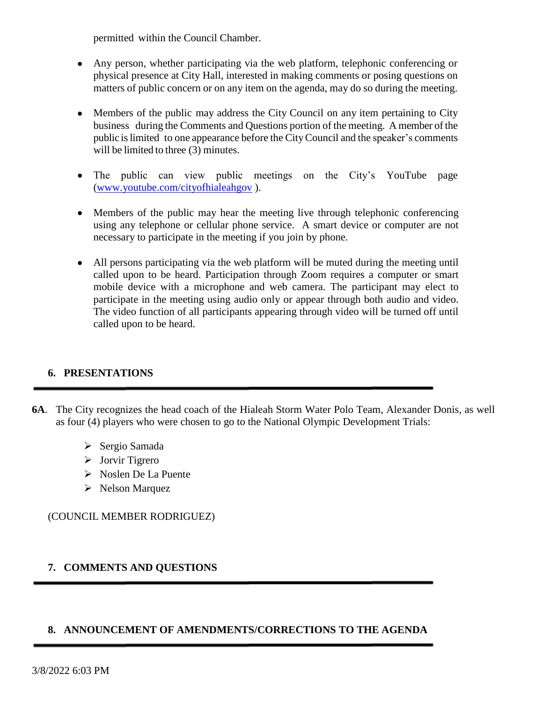permitted within the Council Chamber.

- Any person, whether participating via the web platform, telephonic conferencing or physical presence at City Hall, interested in making comments or posing questions on matters of public concern or on any item on the agenda, may do so during the meeting.
- Members of the public may address the City Council on any item pertaining to City business during the Comments and Questions portion of the meeting. A member of the public islimited to one appearance before the CityCouncil and the speaker's comments will be limited to three (3) minutes.
- The public can view public meetings on the City's YouTube page [\(www.youtube.com/cityofhialeahgov](http://www.youtube.com/cityofhialeahgov) ).
- Members of the public may hear the meeting live through telephonic conferencing using any telephone or cellular phone service. A smart device or computer are not necessary to participate in the meeting if you join by phone.
- All persons participating via the web platform will be muted during the meeting until called upon to be heard. Participation through Zoom requires a computer or smart mobile device with a microphone and web camera. The participant may elect to participate in the meeting using audio only or appear through both audio and video. The video function of all participants appearing through video will be turned off until called upon to be heard.

# **6. PRESENTATIONS**

- **6A**. The City recognizes the head coach of the Hialeah Storm Water Polo Team, Alexander Donis, as well as four (4) players who were chosen to go to the National Olympic Development Trials:
	- $\triangleright$  Sergio Samada
	- Jorvir Tigrero
	- Noslen De La Puente
	- Nelson Marquez

(COUNCIL MEMBER RODRIGUEZ)

## **7. COMMENTS AND QUESTIONS**

## **8. ANNOUNCEMENT OF AMENDMENTS/CORRECTIONS TO THE AGENDA**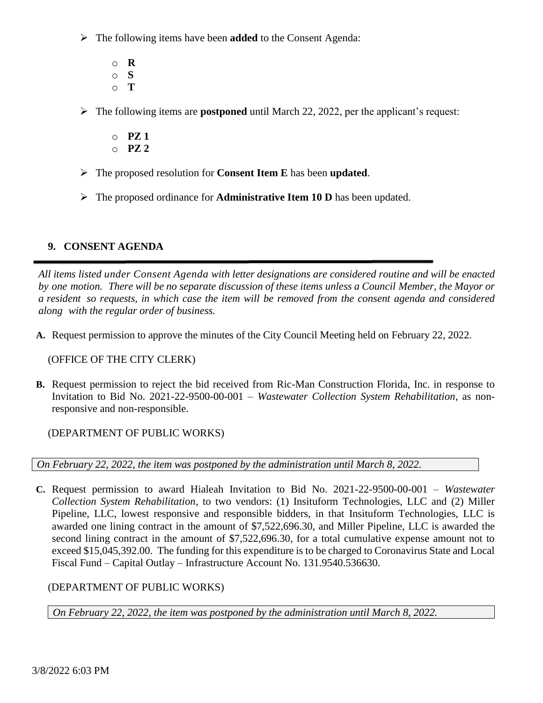- The following items have been **added** to the Consent Agenda:
	- o **R** o **S** o **T**
- The following items are **postponed** until March 22, 2022, per the applicant's request:
	- o **PZ 1** o **PZ 2**
- The proposed resolution for **Consent Item E** has been **updated**.
- The proposed ordinance for **Administrative Item 10 D** has been updated.

# **9. CONSENT AGENDA**

*All items listed under Consent Agenda with letter designations are considered routine and will be enacted* by one motion. There will be no separate discussion of these items unless a Council Member, the Mayor or a resident so requests, in which case the item will be removed from the consent agenda and considered *along with the regular order of business.*

**A.** Request permission to approve the minutes of the City Council Meeting held on February 22, 2022.

## (OFFICE OF THE CITY CLERK)

**B.** Request permission to reject the bid received from Ric-Man Construction Florida, Inc. in response to Invitation to Bid No. 2021-22-9500-00-001 – *Wastewater Collection System Rehabilitation*, as nonresponsive and non-responsible.

(DEPARTMENT OF PUBLIC WORKS)

*On February 22, 2022, the item was postponed by the administration until March 8, 2022.* 

**C.** Request permission to award Hialeah Invitation to Bid No. 2021-22-9500-00-001 – *Wastewater Collection System Rehabilitation*, to two vendors: (1) Insituform Technologies, LLC and (2) Miller Pipeline, LLC, lowest responsive and responsible bidders, in that Insituform Technologies, LLC is awarded one lining contract in the amount of \$7,522,696.30, and Miller Pipeline, LLC is awarded the second lining contract in the amount of \$7,522,696.30, for a total cumulative expense amount not to exceed \$15,045,392.00. The funding for this expenditure is to be charged to Coronavirus State and Local Fiscal Fund – Capital Outlay – Infrastructure Account No. 131.9540.536630.

## (DEPARTMENT OF PUBLIC WORKS)

*On February 22, 2022, the item was postponed by the administration until March 8, 2022.*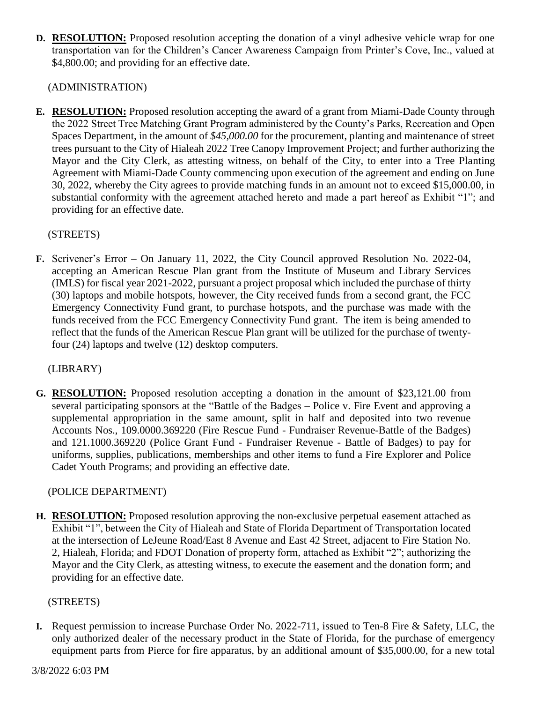**D. RESOLUTION:** Proposed resolution accepting the donation of a vinyl adhesive vehicle wrap for one transportation van for the Children's Cancer Awareness Campaign from Printer's Cove, Inc., valued at \$4,800.00; and providing for an effective date.

(ADMINISTRATION)

**E. RESOLUTION:** Proposed resolution accepting the award of a grant from Miami-Dade County through the 2022 Street Tree Matching Grant Program administered by the County's Parks, Recreation and Open Spaces Department, in the amount of *\$45,000.00* for the procurement, planting and maintenance of street trees pursuant to the City of Hialeah 2022 Tree Canopy Improvement Project; and further authorizing the Mayor and the City Clerk, as attesting witness, on behalf of the City, to enter into a Tree Planting Agreement with Miami-Dade County commencing upon execution of the agreement and ending on June 30, 2022, whereby the City agrees to provide matching funds in an amount not to exceed \$15,000.00, in substantial conformity with the agreement attached hereto and made a part hereof as Exhibit "1"; and providing for an effective date.

## (STREETS)

**F.** Scrivener's Error – On January 11, 2022, the City Council approved Resolution No. 2022-04, accepting an American Rescue Plan grant from the Institute of Museum and Library Services (IMLS) for fiscal year 2021-2022, pursuant a project proposal which included the purchase of thirty (30) laptops and mobile hotspots, however, the City received funds from a second grant, the FCC Emergency Connectivity Fund grant, to purchase hotspots, and the purchase was made with the funds received from the FCC Emergency Connectivity Fund grant. The item is being amended to reflect that the funds of the American Rescue Plan grant will be utilized for the purchase of twentyfour (24) laptops and twelve (12) desktop computers.

## (LIBRARY)

**G. RESOLUTION:** Proposed resolution accepting a donation in the amount of \$23,121.00 from several participating sponsors at the "Battle of the Badges – Police v. Fire Event and approving a supplemental appropriation in the same amount, split in half and deposited into two revenue Accounts Nos., 109.0000.369220 (Fire Rescue Fund - Fundraiser Revenue-Battle of the Badges) and 121.1000.369220 (Police Grant Fund - Fundraiser Revenue - Battle of Badges) to pay for uniforms, supplies, publications, memberships and other items to fund a Fire Explorer and Police Cadet Youth Programs; and providing an effective date.

## (POLICE DEPARTMENT)

**H. RESOLUTION:** Proposed resolution approving the non-exclusive perpetual easement attached as Exhibit "1", between the City of Hialeah and State of Florida Department of Transportation located at the intersection of LeJeune Road/East 8 Avenue and East 42 Street, adjacent to Fire Station No. 2, Hialeah, Florida; and FDOT Donation of property form, attached as Exhibit "2"; authorizing the Mayor and the City Clerk, as attesting witness, to execute the easement and the donation form; and providing for an effective date.

## (STREETS)

**I.** Request permission to increase Purchase Order No. 2022-711, issued to Ten-8 Fire & Safety, LLC, the only authorized dealer of the necessary product in the State of Florida, for the purchase of emergency equipment parts from Pierce for fire apparatus, by an additional amount of \$35,000.00, for a new total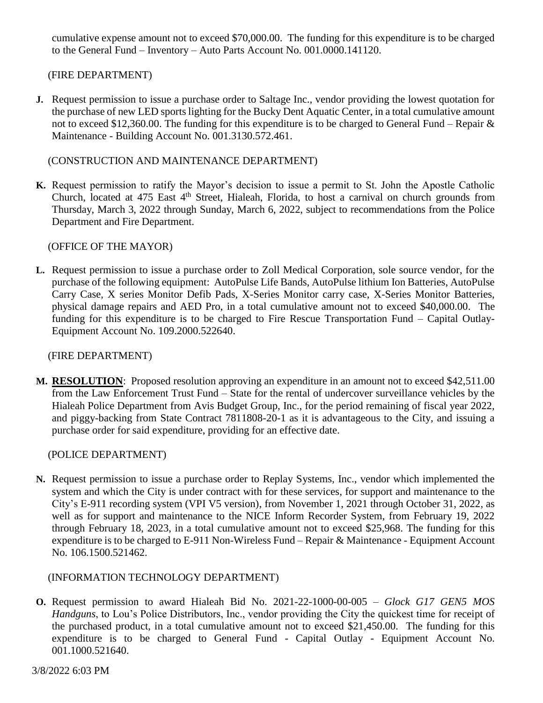cumulative expense amount not to exceed \$70,000.00. The funding for this expenditure is to be charged to the General Fund – Inventory – Auto Parts Account No. 001.0000.141120.

## (FIRE DEPARTMENT)

**J.** Request permission to issue a purchase order to Saltage Inc., vendor providing the lowest quotation for the purchase of new LED sports lighting for the Bucky Dent Aquatic Center, in a total cumulative amount not to exceed \$12,360.00. The funding for this expenditure is to be charged to General Fund – Repair & Maintenance - Building Account No. 001.3130.572.461.

### (CONSTRUCTION AND MAINTENANCE DEPARTMENT)

**K.** Request permission to ratify the Mayor's decision to issue a permit to St. John the Apostle Catholic Church, located at 475 East  $4<sup>th</sup>$  Street, Hialeah, Florida, to host a carnival on church grounds from Thursday, March 3, 2022 through Sunday, March 6, 2022, subject to recommendations from the Police Department and Fire Department.

### (OFFICE OF THE MAYOR)

**L.** Request permission to issue a purchase order to Zoll Medical Corporation, sole source vendor, for the purchase of the following equipment: AutoPulse Life Bands, AutoPulse lithium Ion Batteries, AutoPulse Carry Case, X series Monitor Defib Pads, X-Series Monitor carry case, X-Series Monitor Batteries, physical damage repairs and AED Pro, in a total cumulative amount not to exceed \$40,000.00. The funding for this expenditure is to be charged to Fire Rescue Transportation Fund – Capital Outlay-Equipment Account No. 109.2000.522640.

#### (FIRE DEPARTMENT)

**M. RESOLUTION**: Proposed resolution approving an expenditure in an amount not to exceed \$42,511.00 from the Law Enforcement Trust Fund – State for the rental of undercover surveillance vehicles by the Hialeah Police Department from Avis Budget Group, Inc., for the period remaining of fiscal year 2022, and piggy-backing from State Contract 7811808-20-1 as it is advantageous to the City, and issuing a purchase order for said expenditure, providing for an effective date.

#### (POLICE DEPARTMENT)

**N.** Request permission to issue a purchase order to Replay Systems, Inc., vendor which implemented the system and which the City is under contract with for these services, for support and maintenance to the City's E-911 recording system (VPI V5 version), from November 1, 2021 through October 31, 2022, as well as for support and maintenance to the NICE Inform Recorder System, from February 19, 2022 through February 18, 2023, in a total cumulative amount not to exceed \$25,968. The funding for this expenditure is to be charged to E-911 Non-Wireless Fund – Repair & Maintenance - Equipment Account No. 106.1500.521462.

(INFORMATION TECHNOLOGY DEPARTMENT)

**O.** Request permission to award Hialeah Bid No. 2021-22-1000-00-005 – *Glock G17 GEN5 MOS Handguns*, to Lou's Police Distributors, Inc., vendor providing the City the quickest time for receipt of the purchased product, in a total cumulative amount not to exceed \$21,450.00. The funding for this expenditure is to be charged to General Fund - Capital Outlay - Equipment Account No. 001.1000.521640.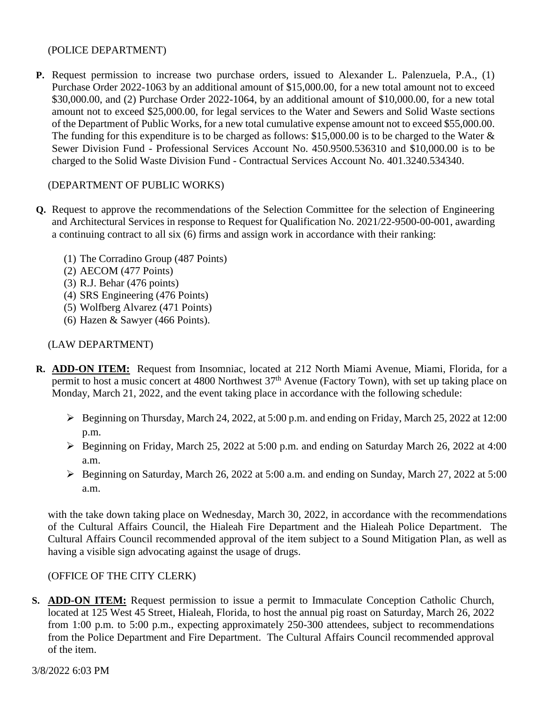### (POLICE DEPARTMENT)

**P.** Request permission to increase two purchase orders, issued to Alexander L. Palenzuela, P.A., (1) Purchase Order 2022-1063 by an additional amount of \$15,000.00, for a new total amount not to exceed \$30,000.00, and (2) Purchase Order 2022-1064, by an additional amount of \$10,000.00, for a new total amount not to exceed \$25,000.00, for legal services to the Water and Sewers and Solid Waste sections of the Department of Public Works, for a new total cumulative expense amount not to exceed \$55,000.00. The funding for this expenditure is to be charged as follows: \$15,000.00 is to be charged to the Water & Sewer Division Fund - Professional Services Account No. 450.9500.536310 and \$10,000.00 is to be charged to the Solid Waste Division Fund - Contractual Services Account No. 401.3240.534340.

## (DEPARTMENT OF PUBLIC WORKS)

- **Q.** Request to approve the recommendations of the Selection Committee for the selection of Engineering and Architectural Services in response to Request for Qualification No. 2021/22-9500-00-001, awarding a continuing contract to all six (6) firms and assign work in accordance with their ranking:
	- (1) The Corradino Group (487 Points)
	- (2) AECOM (477 Points)
	- (3) R.J. Behar (476 points)
	- (4) SRS Engineering (476 Points)
	- (5) Wolfberg Alvarez (471 Points)
	- (6) Hazen & Sawyer (466 Points).

### (LAW DEPARTMENT)

- **R. ADD-ON ITEM:** Request from Insomniac, located at 212 North Miami Avenue, Miami, Florida, for a permit to host a music concert at 4800 Northwest 37<sup>th</sup> Avenue (Factory Town), with set up taking place on Monday, March 21, 2022, and the event taking place in accordance with the following schedule:
	- Beginning on Thursday, March 24, 2022, at 5:00 p.m. and ending on Friday, March 25, 2022 at 12:00 p.m.
	- $\triangleright$  Beginning on Friday, March 25, 2022 at 5:00 p.m. and ending on Saturday March 26, 2022 at 4:00 a.m.
	- Beginning on Saturday, March 26, 2022 at 5:00 a.m. and ending on Sunday, March 27, 2022 at 5:00 a.m.

with the take down taking place on Wednesday, March 30, 2022, in accordance with the recommendations of the Cultural Affairs Council, the Hialeah Fire Department and the Hialeah Police Department. The Cultural Affairs Council recommended approval of the item subject to a Sound Mitigation Plan, as well as having a visible sign advocating against the usage of drugs.

#### (OFFICE OF THE CITY CLERK)

**S. ADD-ON ITEM:** Request permission to issue a permit to Immaculate Conception Catholic Church, located at 125 West 45 Street, Hialeah, Florida, to host the annual pig roast on Saturday, March 26, 2022 from 1:00 p.m. to 5:00 p.m., expecting approximately 250-300 attendees, subject to recommendations from the Police Department and Fire Department. The Cultural Affairs Council recommended approval of the item.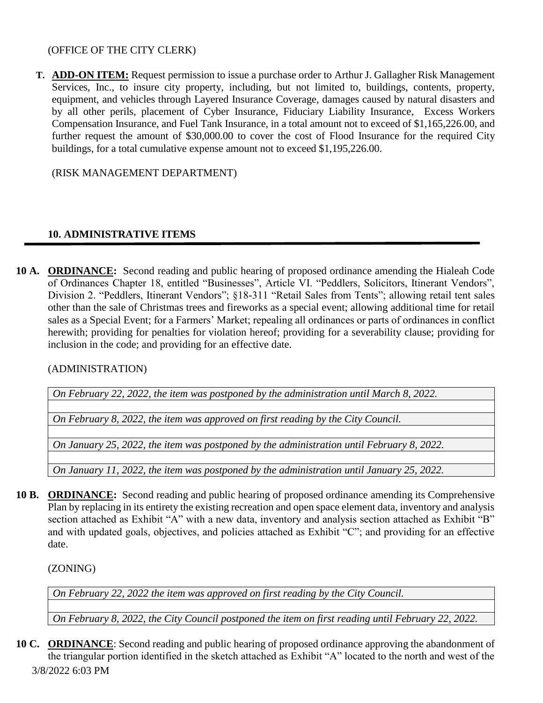### (OFFICE OF THE CITY CLERK)

**T. ADD-ON ITEM:** Request permission to issue a purchase order to Arthur J. Gallagher Risk Management Services, Inc., to insure city property, including, but not limited to, buildings, contents, property, equipment, and vehicles through Layered Insurance Coverage, damages caused by natural disasters and by all other perils, placement of Cyber Insurance, Fiduciary Liability Insurance, Excess Workers Compensation Insurance, and Fuel Tank Insurance, in a total amount not to exceed of \$1,165,226.00, and further request the amount of \$30,000.00 to cover the cost of Flood Insurance for the required City buildings, for a total cumulative expense amount not to exceed \$1,195,226.00.

(RISK MANAGEMENT DEPARTMENT)

## **10. ADMINISTRATIVE ITEMS**

**10 A. ORDINANCE:** Second reading and public hearing of proposed ordinance amending the Hialeah Code of Ordinances Chapter 18, entitled "Businesses", Article VI. "Peddlers, Solicitors, Itinerant Vendors", Division 2. "Peddlers, Itinerant Vendors"; §18-311 "Retail Sales from Tents"; allowing retail tent sales other than the sale of Christmas trees and fireworks as a special event; allowing additional time for retail sales as a Special Event; for a Farmers' Market; repealing all ordinances or parts of ordinances in conflict herewith; providing for penalties for violation hereof; providing for a severability clause; providing for inclusion in the code; and providing for an effective date.

(ADMINISTRATION)

*On February 22, 2022, the item was postponed by the administration until March 8, 2022.*

*On February 8, 2022, the item was approved on first reading by the City Council.*

*On January 25, 2022, the item was postponed by the administration until February 8, 2022.*

*On January 11, 2022, the item was postponed by the administration until January 25, 2022.*

**10 B. ORDINANCE:** Second reading and public hearing of proposed ordinance amending its Comprehensive Plan by replacing in its entirety the existing recreation and open space element data, inventory and analysis section attached as Exhibit "A" with a new data, inventory and analysis section attached as Exhibit "B" and with updated goals, objectives, and policies attached as Exhibit "C"; and providing for an effective date.

(ZONING)

*On February 22, 2022 the item was approved on first reading by the City Council.*

*On February 8, 2022, the City Council postponed the item on first reading until February 22, 2022.*

3/8/2022 6:03 PM **10 C. ORDINANCE**: Second reading and public hearing of proposed ordinance approving the abandonment of the triangular portion identified in the sketch attached as Exhibit "A" located to the north and west of the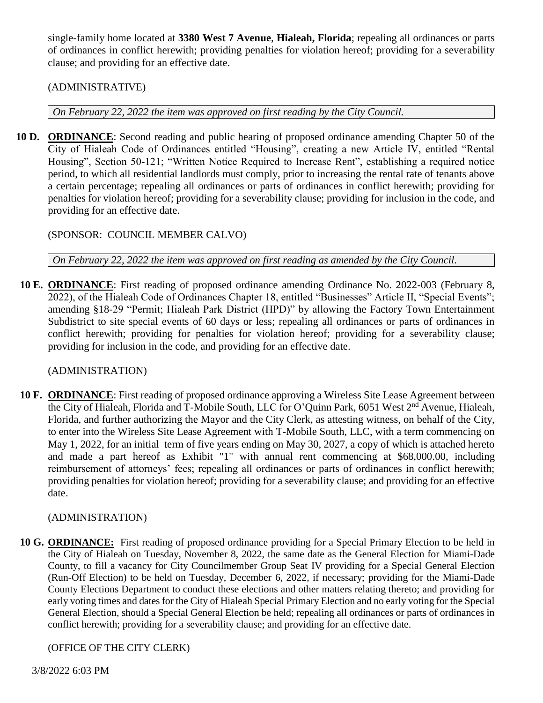single-family home located at **3380 West 7 Avenue**, **Hialeah, Florida**; repealing all ordinances or parts of ordinances in conflict herewith; providing penalties for violation hereof; providing for a severability clause; and providing for an effective date.

## (ADMINISTRATIVE)

*On February 22, 2022 the item was approved on first reading by the City Council.*

**10 D. ORDINANCE**: Second reading and public hearing of proposed ordinance amending Chapter 50 of the City of Hialeah Code of Ordinances entitled "Housing", creating a new Article IV, entitled "Rental Housing", Section 50-121; "Written Notice Required to Increase Rent", establishing a required notice period, to which all residential landlords must comply, prior to increasing the rental rate of tenants above a certain percentage; repealing all ordinances or parts of ordinances in conflict herewith; providing for penalties for violation hereof; providing for a severability clause; providing for inclusion in the code, and providing for an effective date.

## (SPONSOR: COUNCIL MEMBER CALVO)

*On February 22, 2022 the item was approved on first reading as amended by the City Council.*

**10 E. ORDINANCE**: First reading of proposed ordinance amending Ordinance No. 2022-003 (February 8, 2022), of the Hialeah Code of Ordinances Chapter 18, entitled "Businesses" Article II, "Special Events"; amending §18-29 "Permit; Hialeah Park District (HPD)" by allowing the Factory Town Entertainment Subdistrict to site special events of 60 days or less; repealing all ordinances or parts of ordinances in conflict herewith; providing for penalties for violation hereof; providing for a severability clause; providing for inclusion in the code, and providing for an effective date.

## (ADMINISTRATION)

**10 F. ORDINANCE**: First reading of proposed ordinance approving a Wireless Site Lease Agreement between the City of Hialeah, Florida and T-Mobile South, LLC for O'Quinn Park, 6051 West 2<sup>nd</sup> Avenue, Hialeah, Florida, and further authorizing the Mayor and the City Clerk, as attesting witness, on behalf of the City, to enter into the Wireless Site Lease Agreement with T-Mobile South, LLC, with a term commencing on May 1, 2022, for an initial term of five years ending on May 30, 2027, a copy of which is attached hereto and made a part hereof as Exhibit "1" with annual rent commencing at \$68,000.00, including reimbursement of attorneys' fees; repealing all ordinances or parts of ordinances in conflict herewith; providing penalties for violation hereof; providing for a severability clause; and providing for an effective date.

## (ADMINISTRATION)

**10 G. ORDINANCE:** First reading of proposed ordinance providing for a Special Primary Election to be held in the City of Hialeah on Tuesday, November 8, 2022, the same date as the General Election for Miami-Dade County, to fill a vacancy for City Councilmember Group Seat IV providing for a Special General Election (Run-Off Election) to be held on Tuesday, December 6, 2022, if necessary; providing for the Miami-Dade County Elections Department to conduct these elections and other matters relating thereto; and providing for early voting times and dates for the City of Hialeah Special Primary Election and no early voting for the Special General Election, should a Special General Election be held; repealing all ordinances or parts of ordinances in conflict herewith; providing for a severability clause; and providing for an effective date.

## (OFFICE OF THE CITY CLERK)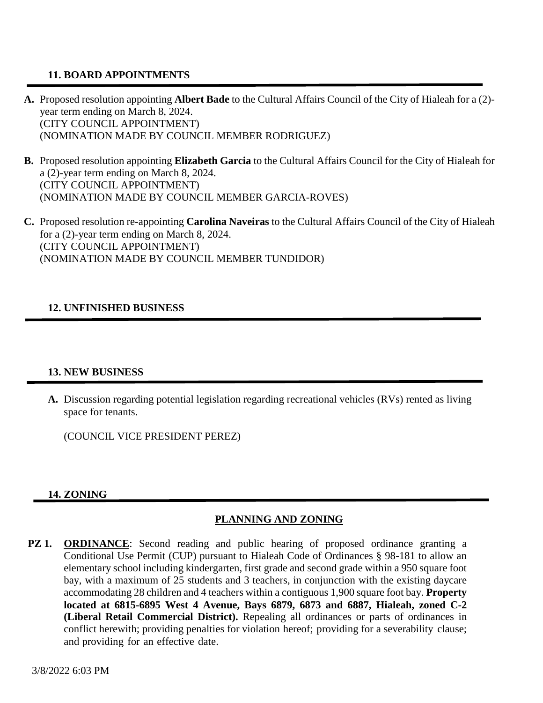## **11. BOARD APPOINTMENTS**

- **A.** Proposed resolution appointing **Albert Bade** to the Cultural Affairs Council of the City of Hialeah for a (2) year term ending on March 8, 2024. (CITY COUNCIL APPOINTMENT) (NOMINATION MADE BY COUNCIL MEMBER RODRIGUEZ)
- **B.** Proposed resolution appointing **Elizabeth Garcia** to the Cultural Affairs Council for the City of Hialeah for a (2)-year term ending on March 8, 2024. (CITY COUNCIL APPOINTMENT) (NOMINATION MADE BY COUNCIL MEMBER GARCIA-ROVES)
- **C.** Proposed resolution re-appointing **Carolina Naveiras** to the Cultural Affairs Council of the City of Hialeah for a (2)-year term ending on March 8, 2024. (CITY COUNCIL APPOINTMENT) (NOMINATION MADE BY COUNCIL MEMBER TUNDIDOR)

## **12. UNFINISHED BUSINESS**

#### **13. NEW BUSINESS**

**A.** Discussion regarding potential legislation regarding recreational vehicles (RVs) rented as living space for tenants.

(COUNCIL VICE PRESIDENT PEREZ)

#### **14. ZONING**

# **PLANNING AND ZONING**

**PZ 1. ORDINANCE**: Second reading and public hearing of proposed ordinance granting a Conditional Use Permit (CUP) pursuant to Hialeah Code of Ordinances § 98-181 to allow an elementary school including kindergarten, first grade and second grade within a 950 square foot bay, with a maximum of 25 students and 3 teachers, in conjunction with the existing daycare accommodating 28 children and 4 teachers within a contiguous 1,900 square foot bay. **Property located at 6815-6895 West 4 Avenue, Bays 6879, 6873 and 6887, Hialeah, zoned C-2 (Liberal Retail Commercial District).** Repealing all ordinances or parts of ordinances in conflict herewith; providing penalties for violation hereof; providing for a severability clause; and providing for an effective date.

3/8/2022 6:03 PM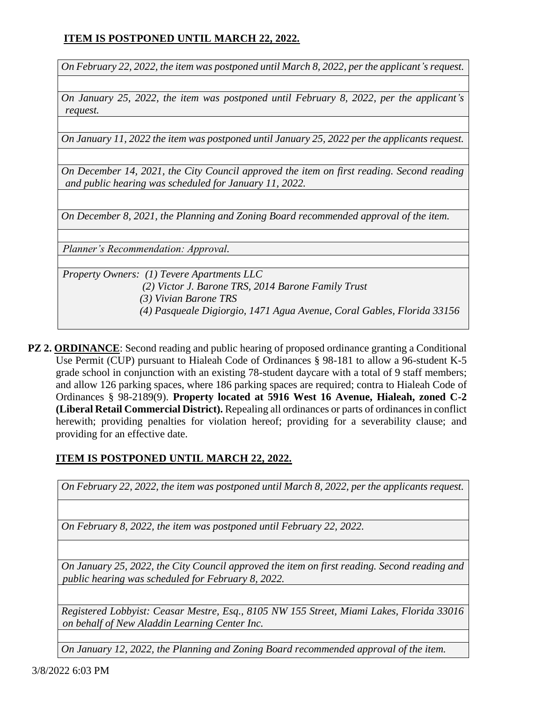# **ITEM IS POSTPONED UNTIL MARCH 22, 2022.**

*On February 22, 2022, the item was postponed until March 8, 2022, per the applicant's request.* 

*On January 25, 2022, the item was postponed until February 8, 2022, per the applicant's request.*

*On January 11, 2022 the item was postponed until January 25, 2022 per the applicants request.*

*On December 14, 2021, the City Council approved the item on first reading. Second reading and public hearing was scheduled for January 11, 2022.*

*On December 8, 2021, the Planning and Zoning Board recommended approval of the item.*

*Planner's Recommendation: Approval.*

*Property Owners: (1) Tevere Apartments LLC (2) Victor J. Barone TRS, 2014 Barone Family Trust (3) Vivian Barone TRS (4) Pasqueale Digiorgio, 1471 Agua Avenue, Coral Gables, Florida 33156*

**PZ 2. ORDINANCE**: Second reading and public hearing of proposed ordinance granting a Conditional Use Permit (CUP) pursuant to Hialeah Code of Ordinances § 98-181 to allow a 96-student K-5 grade school in conjunction with an existing 78-student daycare with a total of 9 staff members; and allow 126 parking spaces, where 186 parking spaces are required; contra to Hialeah Code of Ordinances § 98-2189(9). **Property located at 5916 West 16 Avenue, Hialeah, zoned C-2 (Liberal Retail Commercial District).** Repealing all ordinances or parts of ordinances in conflict herewith; providing penalties for violation hereof; providing for a severability clause; and providing for an effective date.

## **ITEM IS POSTPONED UNTIL MARCH 22, 2022.**

*On February 22, 2022, the item was postponed until March 8, 2022, per the applicants request.*

*On February 8, 2022, the item was postponed until February 22, 2022.* 

*On January 25, 2022, the City Council approved the item on first reading. Second reading and public hearing was scheduled for February 8, 2022.*

*Registered Lobbyist: Ceasar Mestre, Esq., 8105 NW 155 Street, Miami Lakes, Florida 33016 on behalf of New Aladdin Learning Center Inc.* 

*On January 12, 2022, the Planning and Zoning Board recommended approval of the item.*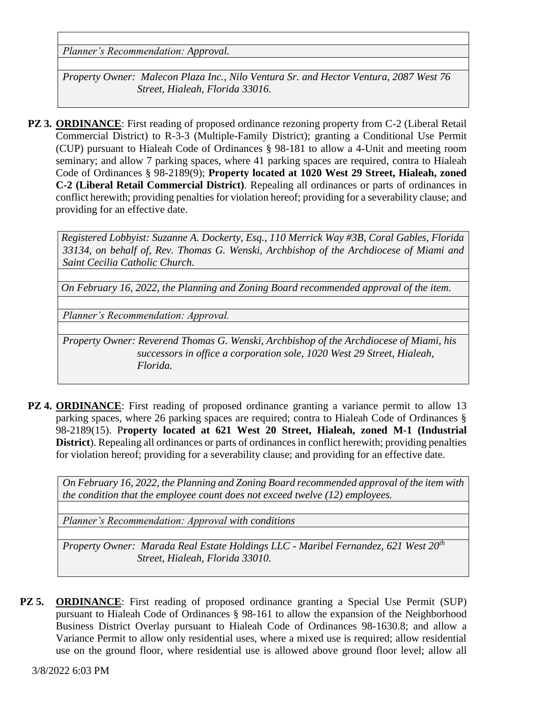*Planner's Recommendation: Approval.*

*Property Owner: Malecon Plaza Inc., Nilo Ventura Sr. and Hector Ventura, 2087 West 76 Street, Hialeah, Florida 33016.*

**PZ 3. ORDINANCE**: First reading of proposed ordinance rezoning property from C-2 (Liberal Retail Commercial District) to R-3-3 (Multiple-Family District); granting a Conditional Use Permit (CUP) pursuant to Hialeah Code of Ordinances § 98-181 to allow a 4-Unit and meeting room seminary; and allow 7 parking spaces, where 41 parking spaces are required, contra to Hialeah Code of Ordinances § 98-2189(9); **Property located at 1020 West 29 Street, Hialeah, zoned C-2 (Liberal Retail Commercial District)**. Repealing all ordinances or parts of ordinances in conflict herewith; providing penalties for violation hereof; providing for a severability clause; and providing for an effective date.

*Registered Lobbyist: Suzanne A. Dockerty, Esq., 110 Merrick Way #3B, Coral Gables, Florida 33134, on behalf of, Rev. Thomas G. Wenski, Archbishop of the Archdiocese of Miami and Saint Cecilia Catholic Church.*

*On February 16, 2022, the Planning and Zoning Board recommended approval of the item.*

*Planner's Recommendation: Approval.*

*Property Owner: Reverend Thomas G. Wenski, Archbishop of the Archdiocese of Miami, his successors in office a corporation sole, 1020 West 29 Street, Hialeah, Florida.*

**PZ 4. ORDINANCE**: First reading of proposed ordinance granting a variance permit to allow 13 parking spaces, where 26 parking spaces are required; contra to Hialeah Code of Ordinances § 98-2189(15). P**roperty located at 621 West 20 Street, Hialeah, zoned M-1 (Industrial District**). Repealing all ordinances or parts of ordinances in conflict herewith; providing penalties for violation hereof; providing for a severability clause; and providing for an effective date.

*On February 16, 2022, the Planning and Zoning Board recommended approval of the item with the condition that the employee count does not exceed twelve (12) employees.*

*Planner's Recommendation: Approval with conditions*

*Property Owner: Marada Real Estate Holdings LLC - Maribel Fernandez, 621 West 20th Street, Hialeah, Florida 33010.*

**PZ 5. ORDINANCE**: First reading of proposed ordinance granting a Special Use Permit (SUP) pursuant to Hialeah Code of Ordinances § 98-161 to allow the expansion of the Neighborhood Business District Overlay pursuant to Hialeah Code of Ordinances 98-1630.8; and allow a Variance Permit to allow only residential uses, where a mixed use is required; allow residential use on the ground floor, where residential use is allowed above ground floor level; allow all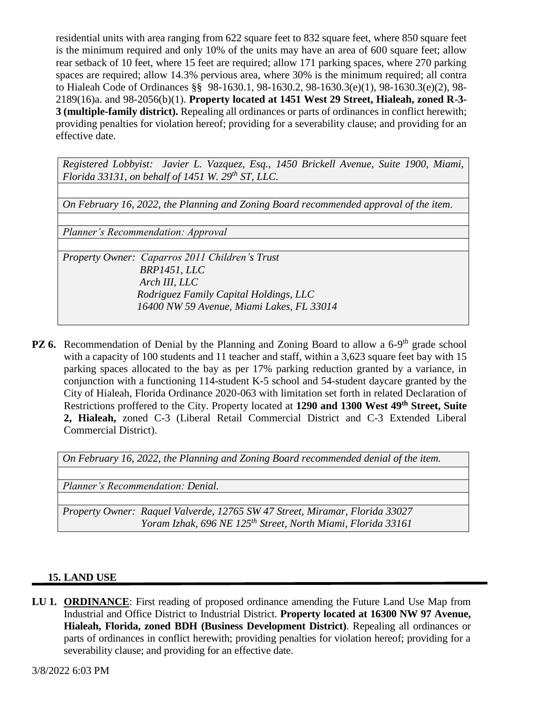residential units with area ranging from 622 square feet to 832 square feet, where 850 square feet is the minimum required and only 10% of the units may have an area of 600 square feet; allow rear setback of 10 feet, where 15 feet are required; allow 171 parking spaces, where 270 parking spaces are required; allow 14.3% pervious area, where 30% is the minimum required; all contra to Hialeah Code of Ordinances §§ 98-1630.1, 98-1630.2, 98-1630.3(e)(1), 98-1630.3(e)(2), 98- 2189(16)a. and 98-2056(b)(1). **Property located at 1451 West 29 Street, Hialeah, zoned R-3- 3 (multiple-family district).** Repealing all ordinances or parts of ordinances in conflict herewith; providing penalties for violation hereof; providing for a severability clause; and providing for an effective date.

*Registered Lobbyist: Javier L. Vazquez, Esq., 1450 Brickell Avenue, Suite 1900, Miami, Florida 33131, on behalf of 1451 W. 29th ST, LLC.* 

*On February 16, 2022, the Planning and Zoning Board recommended approval of the item.*

*Planner's Recommendation: Approval*

*Property Owner: Caparros 2011 Children's Trust BRP1451, LLC Arch III, LLC Rodriguez Family Capital Holdings, LLC 16400 NW 59 Avenue, Miami Lakes, FL 33014*

PZ 6. Recommendation of Denial by the Planning and Zoning Board to allow a 6-9<sup>th</sup> grade school with a capacity of 100 students and 11 teacher and staff, within a 3,623 square feet bay with 15 parking spaces allocated to the bay as per 17% parking reduction granted by a variance, in conjunction with a functioning 114-student K-5 school and 54-student daycare granted by the City of Hialeah, Florida Ordinance 2020-063 with limitation set forth in related Declaration of Restrictions proffered to the City. Property located at **1290 and 1300 West 49th Street, Suite 2, Hialeah,** zoned C-3 (Liberal Retail Commercial District and C-3 Extended Liberal Commercial District).

|  | On February 16, 2022, the Planning and Zoning Board recommended denial of the item. |  |
|--|-------------------------------------------------------------------------------------|--|
|  |                                                                                     |  |

*Planner's Recommendation: Denial.*

*Property Owner: Raquel Valverde, 12765 SW 47 Street, Miramar, Florida 33027 Yoram Izhak, 696 NE 125th Street, North Miami, Florida 33161*

## **15. LAND USE**

**LU 1. ORDINANCE**: First reading of proposed ordinance amending the Future Land Use Map from Industrial and Office District to Industrial District. **Property located at 16300 NW 97 Avenue, Hialeah, Florida, zoned BDH (Business Development District)**. Repealing all ordinances or parts of ordinances in conflict herewith; providing penalties for violation hereof; providing for a severability clause; and providing for an effective date.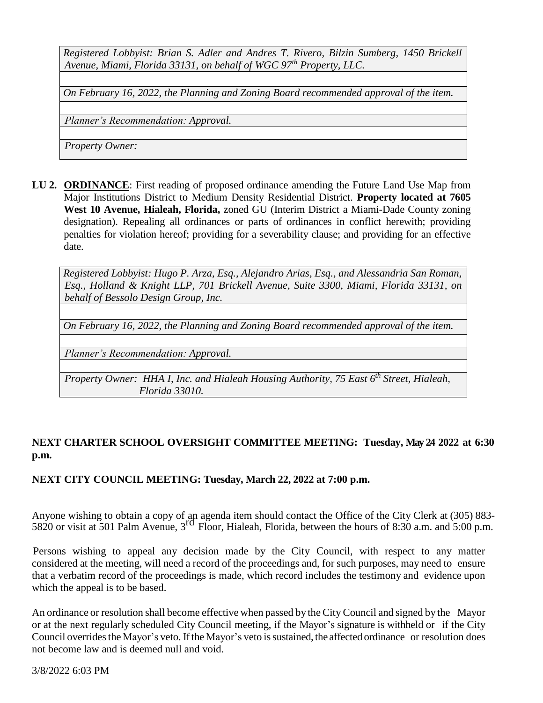*Registered Lobbyist: Brian S. Adler and Andres T. Rivero, Bilzin Sumberg, 1450 Brickell Avenue, Miami, Florida 33131, on behalf of WGC 97th Property, LLC.*

*On February 16, 2022, the Planning and Zoning Board recommended approval of the item.*

*Planner's Recommendation: Approval.*

*Property Owner:* 

**LU 2. ORDINANCE**: First reading of proposed ordinance amending the Future Land Use Map from Major Institutions District to Medium Density Residential District. **Property located at 7605 West 10 Avenue, Hialeah, Florida,** zoned GU (Interim District a Miami-Dade County zoning designation). Repealing all ordinances or parts of ordinances in conflict herewith; providing penalties for violation hereof; providing for a severability clause; and providing for an effective date.

*Registered Lobbyist: Hugo P. Arza, Esq., Alejandro Arias, Esq., and Alessandria San Roman, Esq., Holland & Knight LLP, 701 Brickell Avenue, Suite 3300, Miami, Florida 33131, on behalf of Bessolo Design Group, Inc.* 

*On February 16, 2022, the Planning and Zoning Board recommended approval of the item.*

*Planner's Recommendation: Approval.* 

*Property Owner: HHA I, Inc. and Hialeah Housing Authority, 75 East 6th Street, Hialeah, Florida 33010.*

## **NEXT CHARTER SCHOOL OVERSIGHT COMMITTEE MEETING: Tuesday, May 24 2022 at 6:30 p.m.**

## **NEXT CITY COUNCIL MEETING: Tuesday, March 22, 2022 at 7:00 p.m.**

Anyone wishing to obtain a copy of an agenda item should contact the Office of the City Clerk at (305) 883-  $5820$  or visit at 501 Palm Avenue,  $3<sup>rd</sup>$  Floor, Hialeah, Florida, between the hours of 8:30 a.m. and 5:00 p.m.

 Persons wishing to appeal any decision made by the City Council, with respect to any matter considered at the meeting, will need a record of the proceedings and, for such purposes, may need to ensure that a verbatim record of the proceedings is made, which record includes the testimony and evidence upon which the appeal is to be based.

An ordinance or resolution shall become effective when passed by the City Council and signed by the Mayor or at the next regularly scheduled City Council meeting, if the Mayor's signature is withheld or if the City Council overrides the Mayor's veto. If the Mayor's veto is sustained, the affected ordinance or resolution does not become law and is deemed null and void.